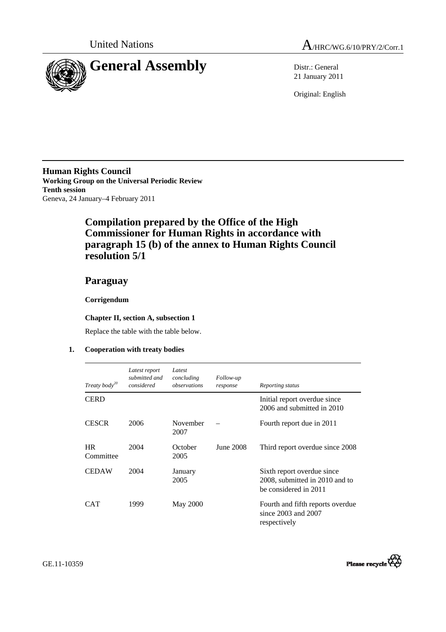



21 January 2011

Original: English

**Human Rights Council Working Group on the Universal Periodic Review Tenth session**  Geneva, 24 January–4 February 2011

# **Compilation prepared by the Office of the High Commissioner for Human Rights in accordance with paragraph 15 (b) of the annex to Human Rights Council resolution 5/1**

## **Paraguay**

### **Corrigendum**

#### **Chapter II, section A, subsection 1**

Replace the table with the table below.

#### **1. Cooperation with treaty bodies**

| Treaty body <sup>20</sup> | Latest report<br>submitted and<br>considered | Latest<br>concluding<br>observations | Follow-up<br>response | Reporting status                                                                      |
|---------------------------|----------------------------------------------|--------------------------------------|-----------------------|---------------------------------------------------------------------------------------|
| <b>CERD</b>               |                                              |                                      |                       | Initial report overdue since<br>2006 and submitted in 2010                            |
| <b>CESCR</b>              | 2006                                         | November<br>2007                     |                       | Fourth report due in 2011                                                             |
| <b>HR</b><br>Committee    | 2004                                         | October<br>2005                      | June 2008             | Third report overdue since 2008                                                       |
| <b>CEDAW</b>              | 2004                                         | January<br>2005                      |                       | Sixth report overdue since<br>2008, submitted in 2010 and to<br>be considered in 2011 |
| <b>CAT</b>                | 1999                                         | <b>May 2000</b>                      |                       | Fourth and fifth reports overdue<br>since $2003$ and $2007$<br>respectively           |